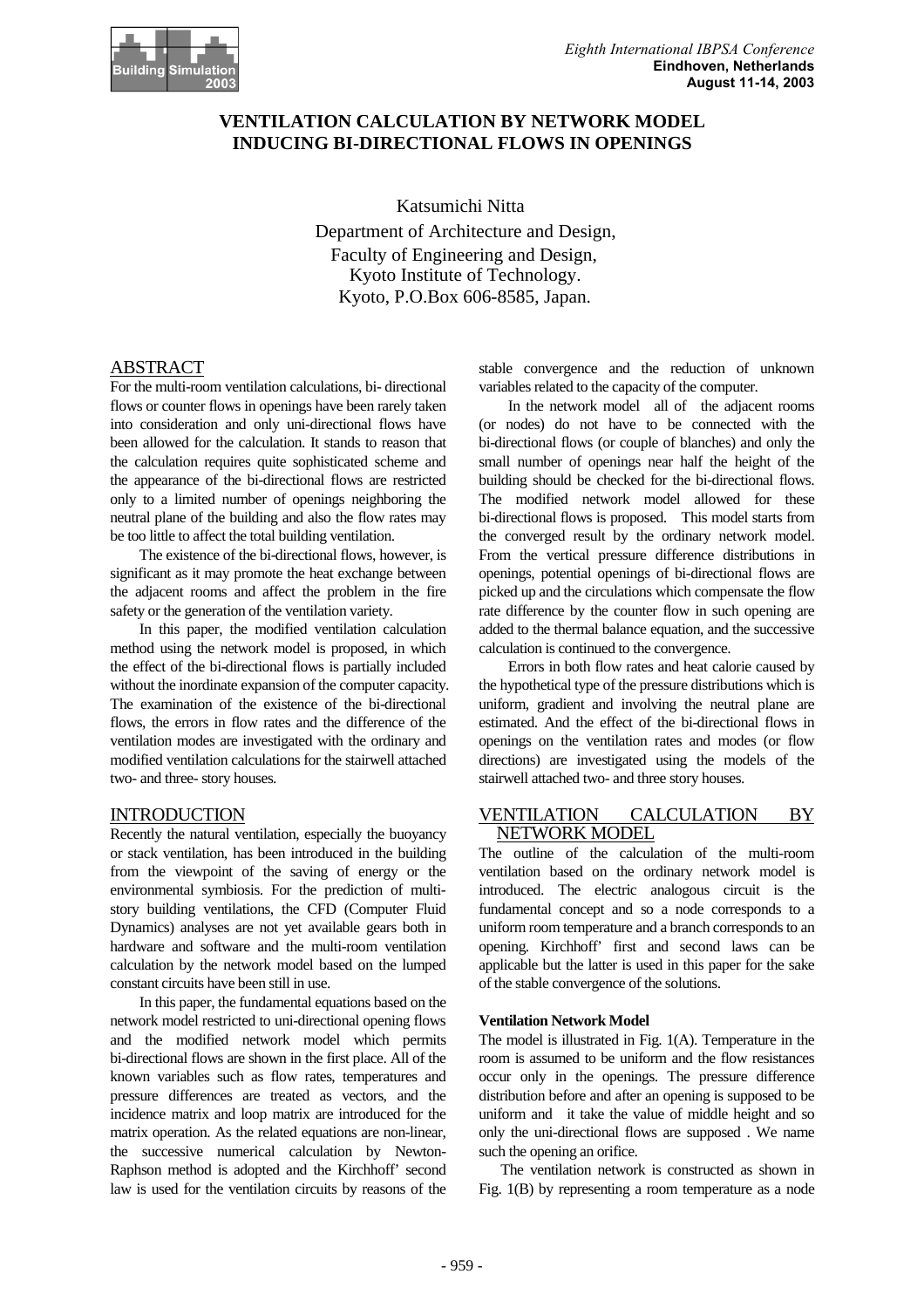# **VENTILATION CALCULATION BY NETWORK MODEL INDUCING BI-DIRECTIONAL FLOWS IN OPENINGS**

Katsumichi Nitta Department of Architecture and Design, Faculty of Engineering and Design, Kyoto Institute of Technology. Kyoto, P.O.Box 606-8585, Japan.

# ABSTRACT

For the multi-room ventilation calculations, bi- directional flows or counter flows in openings have been rarely taken into consideration and only uni-directional flows have been allowed for the calculation. It stands to reason that the calculation requires quite sophisticated scheme and the appearance of the bi-directional flows are restricted only to a limited number of openings neighboring the neutral plane of the building and also the flow rates may be too little to affect the total building ventilation.

The existence of the bi-directional flows, however, is significant as it may promote the heat exchange between the adjacent rooms and affect the problem in the fire safety or the generation of the ventilation variety.

In this paper, the modified ventilation calculation method using the network model is proposed, in which the effect of the bi-directional flows is partially included without the inordinate expansion of the computer capacity. The examination of the existence of the bi-directional flows, the errors in flow rates and the difference of the ventilation modes are investigated with the ordinary and modified ventilation calculations for the stairwell attached two- and three- story houses.

# INTRODUCTION

Recently the natural ventilation, especially the buoyancy or stack ventilation, has been introduced in the building from the viewpoint of the saving of energy or the environmental symbiosis. For the prediction of multistory building ventilations, the CFD (Computer Fluid Dynamics) analyses are not yet available gears both in hardware and software and the multi-room ventilation calculation by the network model based on the lumped constant circuits have been still in use.

In this paper, the fundamental equations based on the network model restricted to uni-directional opening flows and the modified network model which permits bi-directional flows are shown in the first place. All of the known variables such as flow rates, temperatures and pressure differences are treated as vectors, and the incidence matrix and loop matrix are introduced for the matrix operation. As the related equations are non-linear, the successive numerical calculation by Newton-Raphson method is adopted and the Kirchhoff' second law is used for the ventilation circuits by reasons of the

stable convergence and the reduction of unknown variables related to the capacity of the computer.

In the network model all of the adjacent rooms (or nodes) do not have to be connected with the bi-directional flows (or couple of blanches) and only the small number of openings near half the height of the building should be checked for the bi-directional flows. The modified network model allowed for these bi-directional flows is proposed. This model starts from the converged result by the ordinary network model. From the vertical pressure difference distributions in openings, potential openings of bi-directional flows are picked up and the circulations which compensate the flow rate difference by the counter flow in such opening are added to the thermal balance equation, and the successive calculation is continued to the convergence.

Errors in both flow rates and heat calorie caused by the hypothetical type of the pressure distributions which is uniform, gradient and involving the neutral plane are estimated. And the effect of the bi-directional flows in openings on the ventilation rates and modes (or flow directions) are investigated using the models of the stairwell attached two- and three story houses.

## VENTILATION CALCULATION BY NETWORK MODEL

The outline of the calculation of the multi-room ventilation based on the ordinary network model is introduced. The electric analogous circuit is the fundamental concept and so a node corresponds to a uniform room temperature and a branch corresponds to an opening. Kirchhoff' first and second laws can be applicable but the latter is used in this paper for the sake of the stable convergence of the solutions.

# **Ventilation Network Model**

The model is illustrated in Fig. 1(A). Temperature in the room is assumed to be uniform and the flow resistances occur only in the openings. The pressure difference distribution before and after an opening is supposed to be uniform and it take the value of middle height and so only the uni-directional flows are supposed . We name such the opening an orifice.

 The ventilation network is constructed as shown in Fig. 1(B) by representing a room temperature as a node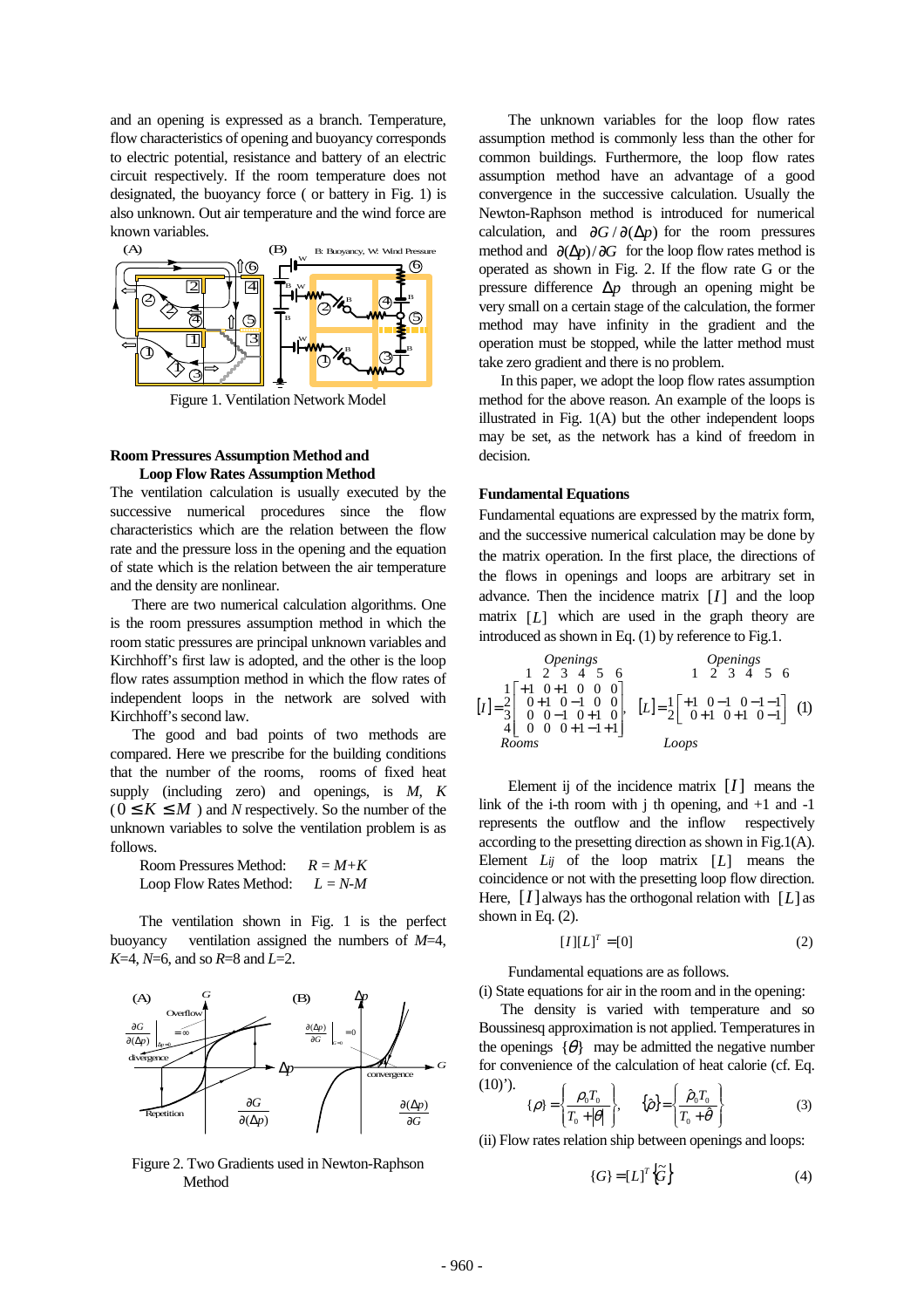and an opening is expressed as a branch. Temperature, flow characteristics of opening and buoyancy corresponds to electric potential, resistance and battery of an electric circuit respectively. If the room temperature does not designated, the buoyancy force ( or battery in Fig. 1) is also unknown. Out air temperature and the wind force are known variables.



Figure 1. Ventilation Network Model

## **Room Pressures Assumption Method and Loop Flow Rates Assumption Method**

The ventilation calculation is usually executed by the successive numerical procedures since the flow characteristics which are the relation between the flow rate and the pressure loss in the opening and the equation of state which is the relation between the air temperature and the density are nonlinear.

 There are two numerical calculation algorithms. One is the room pressures assumption method in which the room static pressures are principal unknown variables and Kirchhoff's first law is adopted, and the other is the loop flow rates assumption method in which the flow rates of independent loops in the network are solved with Kirchhoff's second law.

 The good and bad points of two methods are compared. Here we prescribe for the building conditions that the number of the rooms, rooms of fixed heat supply (including zero) and openings, is *M*, *K*  $(0 \leq K \leq M)$  and *N* respectively. So the number of the unknown variables to solve the ventilation problem is as follows.

 Room Pressures Method: *R = M+K* Loop Flow Rates Method: *L = N-M* 

The ventilation shown in Fig. 1 is the perfect buoyancy ventilation assigned the numbers of *M*=4, *K*=4, *N*=6, and so *R*=8 and *L*=2.



Figure 2. Two Gradients used in Newton-Raphson Method

The unknown variables for the loop flow rates assumption method is commonly less than the other for common buildings. Furthermore, the loop flow rates assumption method have an advantage of a good convergence in the successive calculation. Usually the Newton-Raphson method is introduced for numerical calculation, and  $\frac{\partial G}{\partial \Delta p}$  for the room pressures method and ∂(∆*p*)/∂*G* for the loop flow rates method is operated as shown in Fig. 2. If the flow rate G or the pressure difference ∆*p* through an opening might be very small on a certain stage of the calculation, the former method may have infinity in the gradient and the operation must be stopped, while the latter method must take zero gradient and there is no problem.

 In this paper, we adopt the loop flow rates assumption method for the above reason. An example of the loops is illustrated in Fig. 1(A) but the other independent loops may be set, as the network has a kind of freedom in decision.

#### **Fundamental Equations**

Fundamental equations are expressed by the matrix form, and the successive numerical calculation may be done by the matrix operation. In the first place, the directions of the flows in openings and loops are arbitrary set in advance. Then the incidence matrix  $[I]$  and the loop matrix [*L*] which are used in the graph theory are introduced as shown in Eq. (1) by reference to Fig.1.

| Operations          | Operations                                                                                                                      |                     |                                                                                                                      |     |   |   |
|---------------------|---------------------------------------------------------------------------------------------------------------------------------|---------------------|----------------------------------------------------------------------------------------------------------------------|-----|---|---|
| 1                   | 2                                                                                                                               | 3                   | 4                                                                                                                    | 5   | 6 |   |
| 1                   | 1                                                                                                                               | 1                   | 0                                                                                                                    | 1   | 0 | 0 |
| [I] = $\frac{2}{3}$ | $\begin{bmatrix} 0 & -1 & 0 & 0 \\ 0 & 1 & 0 & -1 & 0 \\ 0 & 0 & -1 & 0 & +1 & 0 \\ 4 & 0 & 0 & 0 & +1 & -1 & +1 \end{bmatrix}$ | [L] = $\frac{1}{2}$ | $\begin{bmatrix} +1 & 0 & -1 & 0 & -1 & -1 \\ 0 & 1 & 0 & +1 & 0 & -1 \\ 0 & 0 & 0 & 0 & +1 & -1 & +1 \end{bmatrix}$ | (1) |   |   |
| Rooms               | Loops                                                                                                                           |                     |                                                                                                                      |     |   |   |

Element ij of the incidence matrix [*I*] means the link of the i-th room with j th opening, and  $+1$  and  $-1$ represents the outflow and the inflow respectively according to the presetting direction as shown in Fig.1(A). Element *Lij* of the loop matrix [*L*] means the coincidence or not with the presetting loop flow direction. Here,  $[I]$  always has the orthogonal relation with  $[L]$  as shown in Eq. (2).

$$
[I][L]^T = [0] \tag{2}
$$

Fundamental equations are as follows.

(i) State equations for air in the room and in the opening:

 $\lambda$  $\ddot{\phantom{1}}$  $\overline{a}$  The density is varied with temperature and so Boussinesq approximation is not applied. Temperatures in the openings  $\{\theta\}$  may be admitted the negative number for convenience of the calculation of heat calorie (cf. Eq.  $(10)$ <sup>'</sup>).

$$
\{\rho\} = \left\{\frac{\rho_0 T_0}{T_0 + |\theta|}\right\}, \quad \{\hat{\rho}\} = \left\{\frac{\hat{\rho}_0 T_0}{T_0 + \hat{\theta}}\right\} \tag{3}
$$

(ii) Flow rates relation ship between openings and loops:

$$
\{G\} = [L]^T \left\{ \widetilde{G} \right\} \tag{4}
$$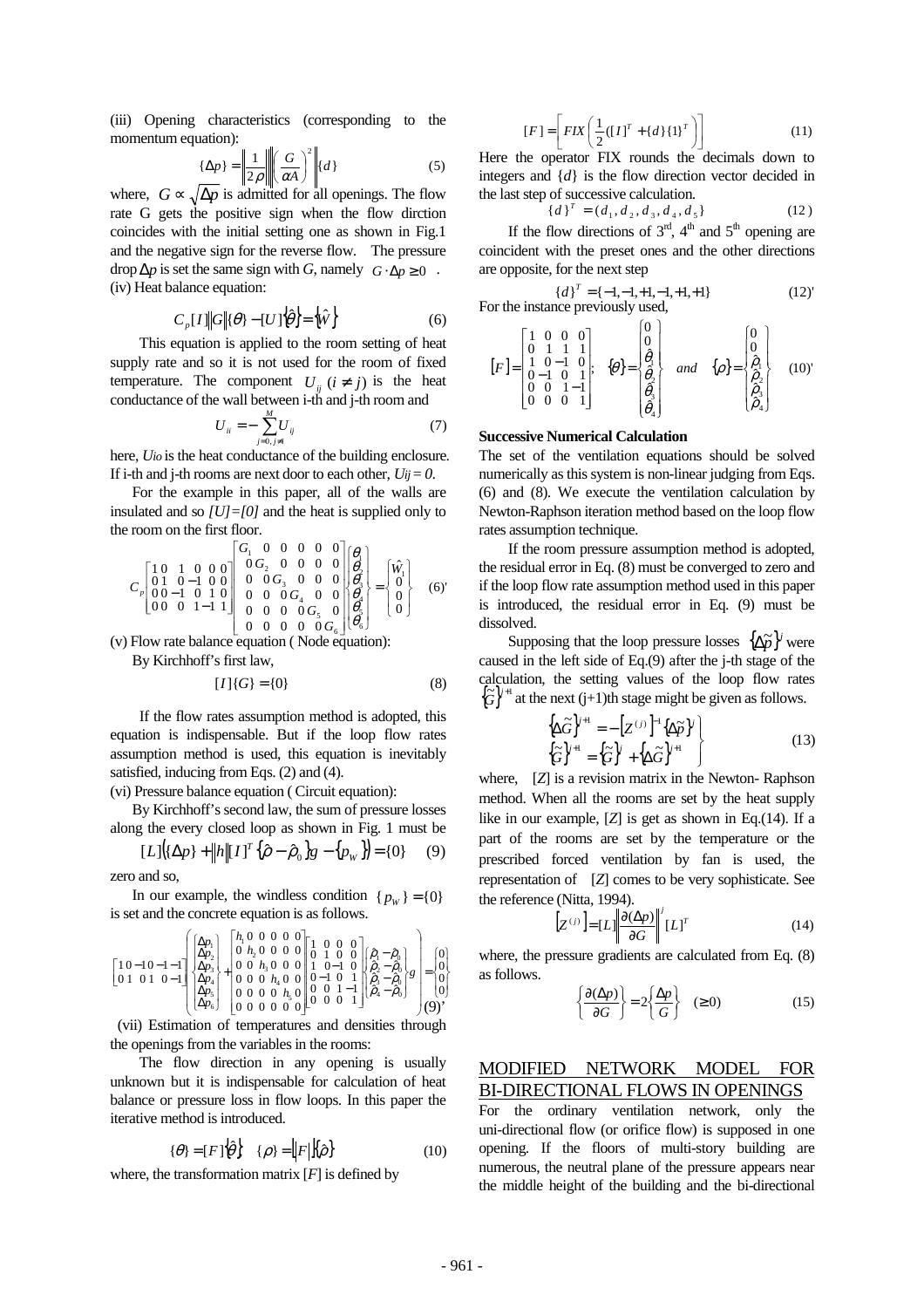(iii) Opening characteristics (corresponding to the momentum equation):

$$
\{\Delta p\} = \left\| \frac{1}{2\rho} \right\| \left( \frac{G}{\alpha A} \right)^2 \middle\| \{d\} \tag{5}
$$

where,  $G \propto \sqrt{\Delta p}$  is admitted for all openings. The flow rate G gets the positive sign when the flow dirction coincides with the initial setting one as shown in Fig.1 and the negative sign for the reverse flow. The pressure drop  $\Delta p$  is set the same sign with *G*, namely  $G \cdot \Delta p \ge 0$ . (iv) Heat balance equation:

$$
C_p[I] \|G\| \{\theta\} - [U] \{\hat{\theta}\} = \{\hat{W}\}\tag{6}
$$

This equation is applied to the room setting of heat supply rate and so it is not used for the room of fixed temperature. The component  $U_{ii}$  ( $i \neq j$ ) is the heat conductance of the wall between i-th and j-th room and

$$
U_{ii} = -\sum_{j=0, j \neq i}^{M} U_{ij} \tag{7}
$$

here, *Uio* is the heat conductance of the building enclosure. If i-th and j-th rooms are next door to each other,  $U_{ij} = 0$ .

 For the example in this paper, all of the walls are insulated and so *[U]=[0]* and the heat is supplied only to the room on the first floor.

$$
C_p \begin{bmatrix} 1 & 0 & 1 & 0 & 0 & 0 \\ 0 & 1 & 0 & -1 & 0 & 0 \\ 0 & 0 & -1 & 0 & 1 & 0 \\ 0 & 0 & 0 & 1 & -1 & 1 \end{bmatrix} \begin{bmatrix} G_1 & 0 & 0 & 0 & 0 & 0 \\ 0 & G_2 & 0 & 0 & 0 & 0 \\ 0 & 0 & G_3 & 0 & 0 & 0 \\ 0 & 0 & 0 & G_4 & 0 & 0 \\ 0 & 0 & 0 & 0 & G_5 & 0 \\ 0 & 0 & 0 & 0 & 0 & G_6 \end{bmatrix} \begin{bmatrix} \theta_1 \\ \theta_2 \\ \theta_3 \\ \theta_4 \\ \theta_5 \end{bmatrix} = \begin{bmatrix} \hat{W}_1 \\ 0 \\ 0 \\ 0 \\ 0 \end{bmatrix}
$$
 (6)'

(v) Flow rate balance equation (Node equation):

By Kirchhoff's first law,

$$
[I]\{G\} = \{0\} \tag{8}
$$

If the flow rates assumption method is adopted, this equation is indispensable. But if the loop flow rates assumption method is used, this equation is inevitably satisfied, inducing from Eqs. (2) and (4).

(vi) Pressure balance equation ( Circuit equation):

 By Kirchhoff's second law, the sum of pressure losses along the every closed loop as shown in Fig. 1 must be

$$
[L] (\{\Delta p\} + ||h|| [I]^T {\hat{\rho} - \hat{\rho}_0} g - {p_w}\} = \{0\} \tag{9}
$$

zero and so,

In our example, the windless condition  ${p_w} = {0}$ is set and the concrete equation is as follows.

$$
\begin{bmatrix} 10-10-1-1 \\ 0 & 1 \\ 0 & 1 \\ 0 & 1 \\ \end{bmatrix} \begin{bmatrix} \Delta p_1 \\ \Delta p_2 \\ \Delta p_3 \\ \Delta p_4 \\ \Delta p_5 \\ \Delta p_6 \end{bmatrix} + \begin{bmatrix} h_1 & 0 & 0 & 0 & 0 \\ 0 & h_2 & 0 & 0 & 0 & 0 \\ 0 & 0 & h_3 & 0 & 0 & 0 \\ 0 & 0 & h_4 & 0 & 0 & 0 \\ 0 & 0 & 0 & h_5 & 0 & 0 \\ 0 & 0 & 0 & 0 & 0 & 0 \\ 0 & 0 & 0 & 0 & 0 & 0 \\ 0 & 0 & 0 & 0 & 0 & 0 \end{bmatrix} \begin{bmatrix} \hat{\rho}_1 - \hat{\rho}_0 \\ \hat{\rho}_2 - \hat{\rho}_0 \\ \hat{\rho}_3 - \hat{\rho}_0 \\ \hat{\rho}_4 - \hat{\rho}_0 \\ \end{bmatrix} = \begin{bmatrix} 0 \\ 0 \\ 0 \\ 0 \\ 0 \\ \end{bmatrix}
$$

 (vii) Estimation of temperatures and densities through the openings from the variables in the rooms:

 The flow direction in any opening is usually unknown but it is indispensable for calculation of heat balance or pressure loss in flow loops. In this paper the iterative method is introduced.

$$
\{\theta\} = [F]\{\hat{\theta}\} \quad \{\rho\} = [F][\{\hat{\rho}\} \quad (10)
$$

where, the transformation matrix  $[F]$  is defined by

$$
[F] = \left[ FIN\left(\frac{1}{2}([I]^T + \{d\}\{1\}^T)\right)\right]
$$
 (11)

Here the operator FIX rounds the decimals down to integers and {*d*} is the flow direction vector decided in the last step of successive calculation.

$$
\{d\}^T = (d_1, d_2, d_3, d_4, d_5)
$$
 (12)

If the flow directions of  $3<sup>rd</sup>$ ,  $4<sup>th</sup>$  and  $5<sup>th</sup>$  opening are coincident with the preset ones and the other directions are opposite, for the next step

{
$$
d
$$
}<sup>*T*</sup> = { $-1,-1,+1,-1,+1,+1$ } (12)<sup>'</sup>  
For the instance previously used,

$$
[F] = \begin{bmatrix} 1 & 0 & 0 & 0 \\ 0 & 1 & 1 & 1 \\ 1 & 0 & 1 & 0 \\ 0 & -1 & 0 & 1 \\ 0 & 0 & 1 & -1 \\ 0 & 0 & 0 & 1 \end{bmatrix}; \quad \{\theta\} = \begin{bmatrix} 0 \\ 0 \\ \hat{\theta}_1 \\ \hat{\theta}_2 \\ \hat{\theta}_3 \\ \hat{\theta}_4 \\ \hat{\theta}_4 \end{bmatrix} \quad and \quad \{\rho\} = \begin{bmatrix} 0 \\ 0 \\ \hat{\rho}_1 \\ \hat{\rho}_2 \\ \hat{\rho}_3 \\ \hat{\rho}_4 \\ \hat{\rho}_4 \end{bmatrix} \quad (10)
$$

### **Successive Numerical Calculation**

The set of the ventilation equations should be solved numerically as this system is non-linear judging from Eqs. (6) and (8). We execute the ventilation calculation by Newton-Raphson iteration method based on the loop flow rates assumption technique.

 If the room pressure assumption method is adopted, the residual error in Eq. (8) must be converged to zero and if the loop flow rate assumption method used in this paper is introduced, the residual error in Eq. (9) must be dissolved.

Supposing that the loop pressure losses  $\{\Delta \tilde{p}\}$  were caused in the left side of Eq.(9) after the j-th stage of the calculation, the setting values of the loop flow rates  ${\{\widetilde{G}\}}^{1+1}$  at the next (j+1)th stage might be given as follows.

$$
\begin{cases}\n\{\Delta \widetilde{G}\}^{j+1} = -\left[Z^{(j)}\right]^{-1} \{\Delta \widetilde{p}\}^{j} \\
\{\widetilde{G}\}^{j+1} = \left\{\widetilde{G}\right\}^{j} + \left\{\Delta \widetilde{G}\right\}^{j+1}\n\end{cases}
$$
\n(13)

where, [*Z*] is a revision matrix in the Newton- Raphson method. When all the rooms are set by the heat supply like in our example, [*Z*] is get as shown in Eq.(14). If a part of the rooms are set by the temperature or the prescribed forced ventilation by fan is used, the representation of [*Z*] comes to be very sophisticate. See the reference (Nitta, 1994).

$$
\left[Z^{(j)}\right] = [L] \left\| \frac{\partial (\Delta p)}{\partial G} \right\|^{j} [L]^{T}
$$
\n(14)

where, the pressure gradients are calculated from Eq. (8) as follows.

$$
\left\{\frac{\partial(\Delta p)}{\partial G}\right\} = 2\left\{\frac{\Delta p}{G}\right\} \quad (\ge 0)
$$
 (15)

# MODIFIED NETWORK MODEL FOR BI-DIRECTIONAL FLOWS IN OPENINGS

For the ordinary ventilation network, only the uni-directional flow (or orifice flow) is supposed in one opening. If the floors of multi-story building are numerous, the neutral plane of the pressure appears near the middle height of the building and the bi-directional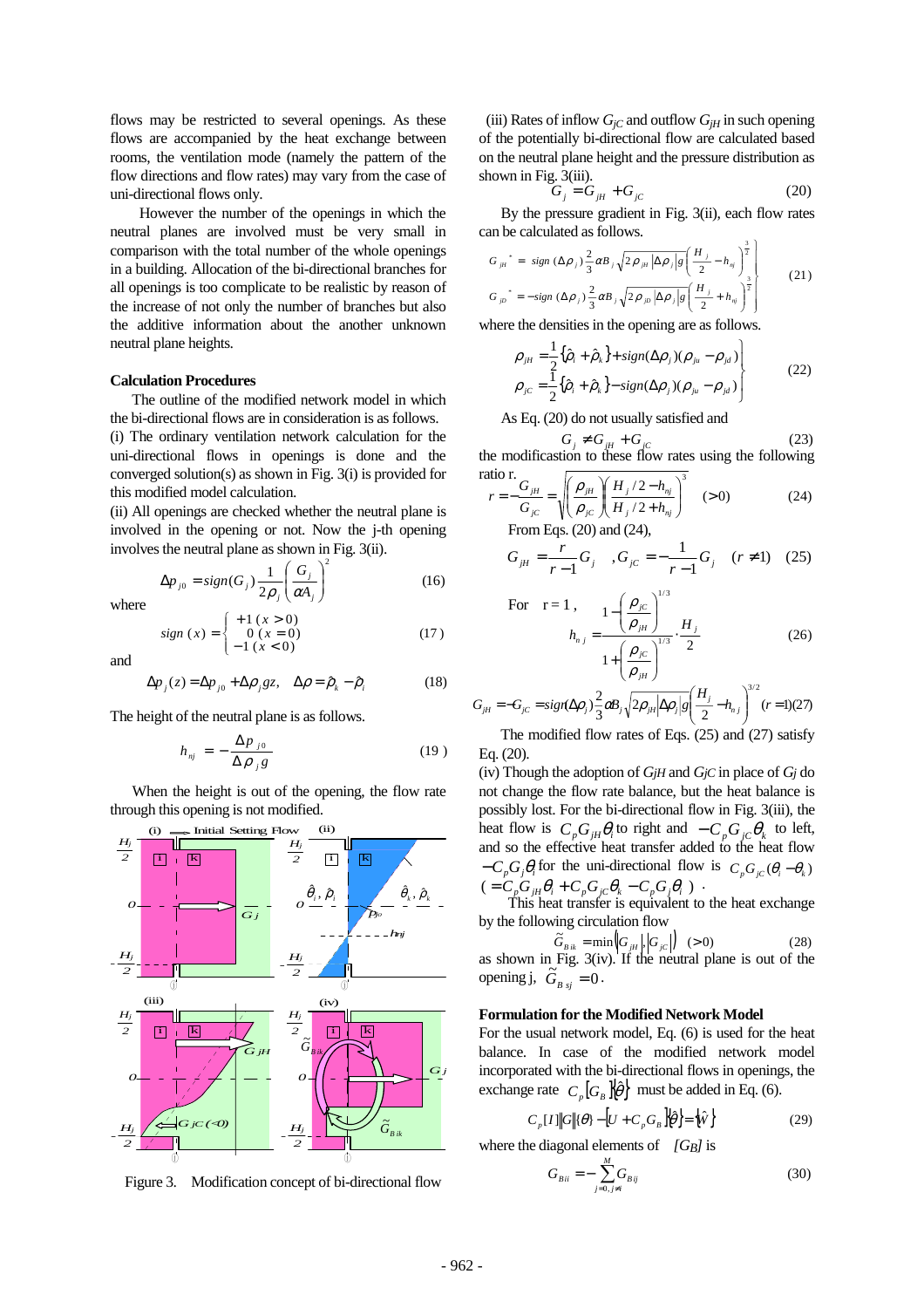flows may be restricted to several openings. As these flows are accompanied by the heat exchange between rooms, the ventilation mode (namely the pattern of the flow directions and flow rates) may vary from the case of uni-directional flows only.

 However the number of the openings in which the neutral planes are involved must be very small in comparison with the total number of the whole openings in a building. Allocation of the bi-directional branches for all openings is too complicate to be realistic by reason of the increase of not only the number of branches but also the additive information about the another unknown neutral plane heights.

#### **Calculation Procedures**

 The outline of the modified network model in which the bi-directional flows are in consideration is as follows.

(i) The ordinary ventilation network calculation for the uni-directional flows in openings is done and the converged solution(s) as shown in Fig. 3(i) is provided for this modified model calculation.

(ii) All openings are checked whether the neutral plane is involved in the opening or not. Now the j-th opening involves the neutral plane as shown in Fig. 3(ii).

$$
\Delta p_{j0} = sign(G_j) \frac{1}{2\rho_j} \left(\frac{G_j}{\alpha A_j}\right)^2 \tag{16}
$$

where

sign (x) = 
$$
\begin{cases} +1 (x > 0) \\ 0 (x = 0) \\ -1 (x < 0) \end{cases}
$$
 (17)

and

$$
\Delta p_j(z) = \Delta p_{j0} + \Delta \rho_j gz, \quad \Delta \rho = \hat{\rho}_k - \hat{\rho}_i \tag{18}
$$

The height of the neutral plane is as follows.

$$
h_{nj} = -\frac{\Delta p_{j0}}{\Delta \rho_{j} g} \tag{19}
$$

 When the height is out of the opening, the flow rate through this opening is not modified.



Figure 3. Modification concept of bi-directional flow

(iii) Rates of inflow  $G_{iC}$  and outflow  $G_{iH}$  in such opening of the potentially bi-directional flow are calculated based on the neutral plane height and the pressure distribution as shown in Fig. 3(iii).

$$
G_j = G_{jH} + G_{jC} \tag{20}
$$

 By the pressure gradient in Fig. 3(ii), each flow rates can be calculated as follows.

$$
G_{\mu}^* = sign (\Delta \rho_j) \frac{2}{3} \alpha B_j \sqrt{2 \rho_{\mu} |\Delta \rho_j| g} \left(\frac{H_j}{2} - h_{nj}\right)^{\frac{3}{2}}
$$
  
\n
$$
G_{\mu}^* = -sign (\Delta \rho_j) \frac{2}{3} \alpha B_j \sqrt{2 \rho_{\mu} |\Delta \rho_j| g} \left(\frac{H_j}{2} + h_{nj}\right)^{\frac{3}{2}}
$$
\n(21)

where the densities in the opening are as follows.

$$
\rho_{jH} = \frac{1}{2} \{\hat{\rho}_i + \hat{\rho}_k\} + sign(\Delta \rho_j)(\rho_{ju} - \rho_{jd})
$$
\n
$$
\rho_{jC} = \frac{1}{2} \{\hat{\rho}_i + \hat{\rho}_k\} - sign(\Delta \rho_j)(\rho_{ju} - \rho_{jd})
$$
\n(22)

As Eq. (20) do not usually satisfied and

$$
G_j \neq G_{jH} + G_{jC} \tag{23}
$$

 $\left[\left(H_{i}/2-h_{ni}\right)^{3}\right]$ the modificastion to these flow rates using the following ratio r.

$$
r = -\frac{G_{jH}}{G_{jC}} = \sqrt{\left(\frac{\rho_{jH}}{\rho_{jC}}\right)\left(\frac{H_j/2 - h_{nj}}{H_j/2 + h_{nj}}\right)^3}
$$
 (>0) (24)  
From Eqs. (20) and (24),

$$
G_{jH} = \frac{r}{r-1} G_j, \quad G_{jC} = -\frac{1}{r-1} G_j \quad (r \neq 1) \quad (25)
$$

For 
$$
r = 1
$$
,  
\n
$$
h_{n j} = \frac{1 - \left(\frac{\rho_{jC}}{\rho_{jH}}\right)^{1/3}}{1 + \left(\frac{\rho_{jC}}{\rho_{jH}}\right)^{1/3}} \cdot \frac{H_j}{2}
$$
\n(26)

$$
G_{jH} = -G_{jC} = sign(\Delta \rho_j) \frac{2}{3} \omega B_j \sqrt{2\rho_{jH} |\Delta \rho_j| g} \left(\frac{H_j}{2} - h_{nj}\right)^{3/2} (r=1)(27)
$$

 The modified flow rates of Eqs. (25) and (27) satisfy Eq. (20).

(iv) Though the adoption of *GjH* and *GjC* in place of *Gj* do not change the flow rate balance, but the heat balance is possibly lost. For the bi-directional flow in Fig. 3(iii), the heat flow is  $C_p G_{iH} \theta_i$  to right and  $-C_p G_{iC} \theta_k$  to left, and so the effective heat transfer added to the heat flow  $-C_p G_j \theta_i$  for the uni-directional flow is  $C_p G_{jC} (\theta_i - \theta_k)$  $( = C_p G_{jH} \theta_i + C_p G_{jC} \theta_k - C_p G_j \theta_i)$ .

This heat transfer is equivalent to the heat exchange by the following circulation flow

$$
\widetilde{G}_{B_{ik}} = \min\left| G_{ik} | G_{ic} | \right| \quad (>0)
$$
\n(28)

 $\tilde{G}_{\scriptscriptstyle{B}}$ as shown in Fig.  $3(iv)$ . If the neutral plane is out of the opening j,  $\tilde{G}_{B_{sj}} = 0$ .

#### **Formulation for the Modified Network Model**

For the usual network model, Eq. (6) is used for the heat balance. In case of the modified network model incorporated with the bi-directional flows in openings, the exchange rate  $C_p[G_B] \{\hat{\theta}\}$  must be added in Eq. (6).

$$
C_p[I] \|G\| \{\theta\} - \left[U + C_p G_B\right] \left\{\hat{\theta}\right\} = \left\{\hat{W}\right\} \tag{29}
$$

where the diagonal elements of *[GB]* is

$$
G_{Bii} = -\sum_{j=0, j\neq i}^{M} G_{Bij}
$$
 (30)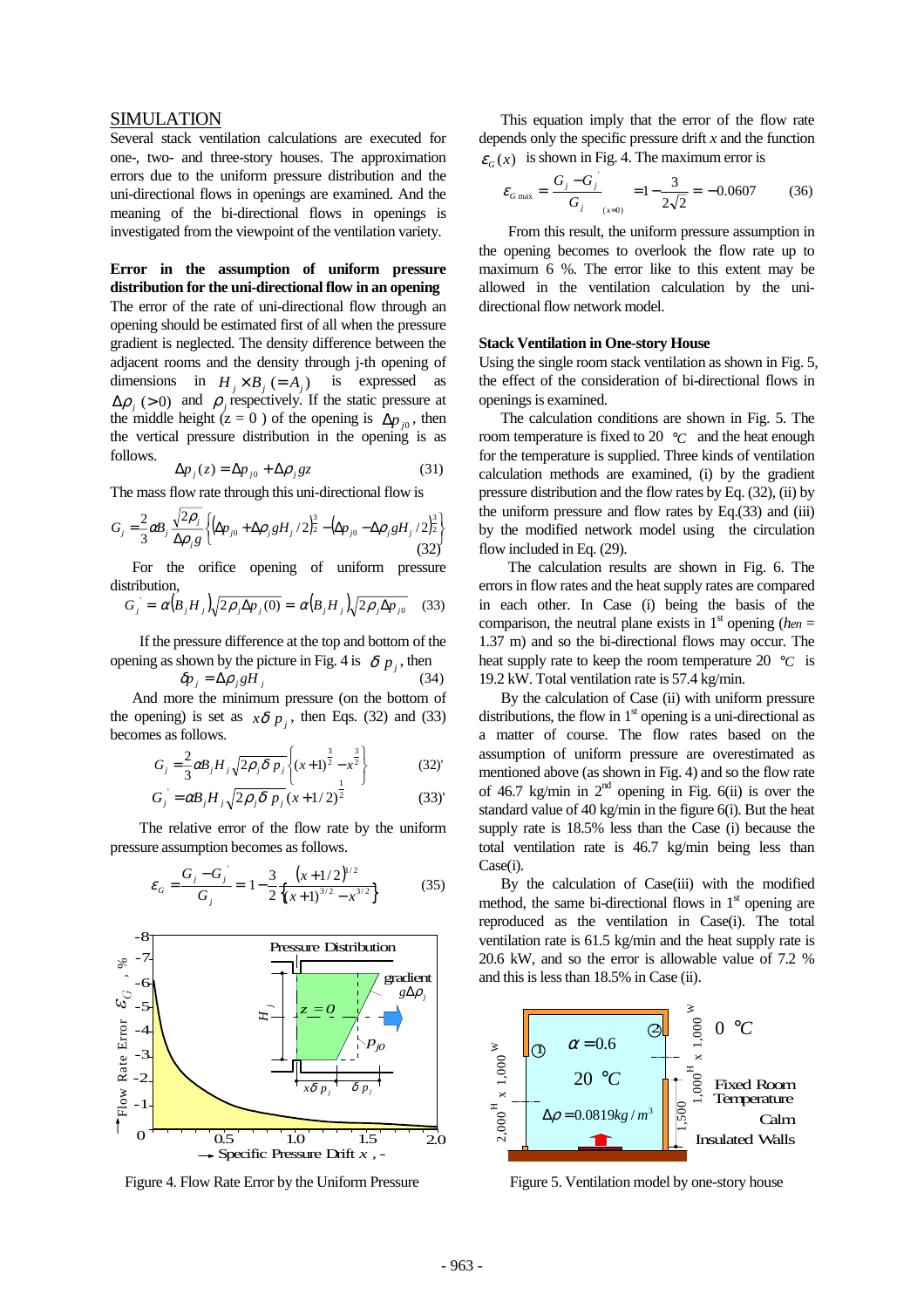#### SIMULATION

Several stack ventilation calculations are executed for one-, two- and three-story houses. The approximation errors due to the uniform pressure distribution and the uni-directional flows in openings are examined. And the meaning of the bi-directional flows in openings is investigated from the viewpoint of the ventilation variety.

## **Error in the assumption of uniform pressure distribution for the uni-directional flow in an opening**  The error of the rate of uni-directional flow through an

opening should be estimated first of all when the pressure gradient is neglected. The density difference between the adjacent rooms and the density through j-th opening of dimensions in  $H_i \times B_j (= A_j)$  is expressed as  $\Delta \rho$  (> 0) and  $\rho$  respectively. If the static pressure at the middle height ( $z = 0$ ) of the opening is  $\Delta p_{i0}$ , then the vertical pressure distribution in the opening is as follows.

$$
\Delta p_j(z) = \Delta p_{j0} + \Delta \rho_j gz \tag{31}
$$

The mass flow rate through this uni-directional flow is

$$
G_{j} = \frac{2}{3} \alpha B_{j} \frac{\sqrt{2 \rho_{j}}}{\Delta \rho_{j} g} \left\{ \left( \Delta p_{j0} + \Delta \rho_{j} g H_{j} / 2 \right)^{\frac{3}{2}} - \left( \Delta p_{j0} - \Delta \rho_{j} g H_{j} / 2 \right)^{\frac{3}{2}} \right\}
$$
(32)

 For the orifice opening of uniform pressure distribution.

$$
G_j = \alpha (B_j H_j) \sqrt{2 \rho_j \Delta p_j(0)} = \alpha (B_j H_j) \sqrt{2 \rho_j \Delta p_{j0}} \quad (33)
$$

 If the pressure difference at the top and bottom of the opening as shown by the picture in Fig. 4 is  $\delta p_j$ , then

$$
\delta p_j = \Delta \rho_j g H_j \tag{34}
$$

 And more the minimum pressure (on the bottom of the opening) is set as  $x\delta p_i$ , then Eqs. (32) and (33) becomes as follows.

$$
G_j = \frac{2}{3} \alpha B_j H_j \sqrt{2 \rho_j \delta p_j} \left\{ (x+1)^{\frac{3}{2}} - x^{\frac{3}{2}} \right\}
$$
(32)

$$
G_j = \alpha B_j H_j \sqrt{2 \rho_j \delta p_j} (x + 1/2)^2
$$
 (33)

The relative error of the flow rate by the uniform pressure assumption becomes as follows.

$$
\varepsilon_G = \frac{G_j - G_j}{G_j} = 1 - \frac{3}{2} \frac{(x + 1/2)^{1/2}}{\{(x + 1)^{3/2} - x^{3/2}\}}
$$
(35)



Figure 4. Flow Rate Error by the Uniform Pressure

 This equation imply that the error of the flow rate depends only the specific pressure drift *x* and the function  $\varepsilon_c(x)$  is shown in Fig. 4. The maximum error is

$$
\varepsilon_{G\max} = \frac{G_j - G_j}{G_j} = 1 - \frac{3}{2\sqrt{2}} = -0.0607
$$
 (36)

From this result, the uniform pressure assumption in the opening becomes to overlook the flow rate up to maximum 6 %. The error like to this extent may be allowed in the ventilation calculation by the unidirectional flow network model.

#### **Stack Ventilation in One-story House**

Using the single room stack ventilation as shown in Fig. 5, the effect of the consideration of bi-directional flows in openings is examined.

 The calculation conditions are shown in Fig. 5. The room temperature is fixed to 20 °*C* and the heat enough for the temperature is supplied. Three kinds of ventilation calculation methods are examined, (i) by the gradient pressure distribution and the flow rates by Eq. (32), (ii) by the uniform pressure and flow rates by Eq.(33) and (iii) by the modified network model using the circulation flow included in Eq. (29).

The calculation results are shown in Fig. 6. The errors in flow rates and the heat supply rates are compared in each other. In Case (i) being the basis of the comparison, the neutral plane exists in  $1<sup>st</sup>$  opening (*hen* = 1.37 m) and so the bi-directional flows may occur. The heat supply rate to keep the room temperature 20  $\degree$ C is 19.2 kW. Total ventilation rate is 57.4 kg/min.

 By the calculation of Case (ii) with uniform pressure distributions, the flow in  $1<sup>st</sup>$  opening is a uni-directional as a matter of course. The flow rates based on the assumption of uniform pressure are overestimated as mentioned above (as shown in Fig. 4) and so the flow rate of 46.7 kg/min in  $2<sup>nd</sup>$  opening in Fig. 6(ii) is over the standard value of 40 kg/min in the figure 6(i). But the heat supply rate is 18.5% less than the Case (i) because the total ventilation rate is 46.7 kg/min being less than Case(i).

 By the calculation of Case(iii) with the modified method, the same bi-directional flows in  $1<sup>st</sup>$  opening are reproduced as the ventilation in Case(i). The total ventilation rate is 61.5 kg/min and the heat supply rate is 20.6 kW, and so the error is allowable value of 7.2 % and this is less than 18.5% in Case (ii).



Figure 5. Ventilation model by one-story house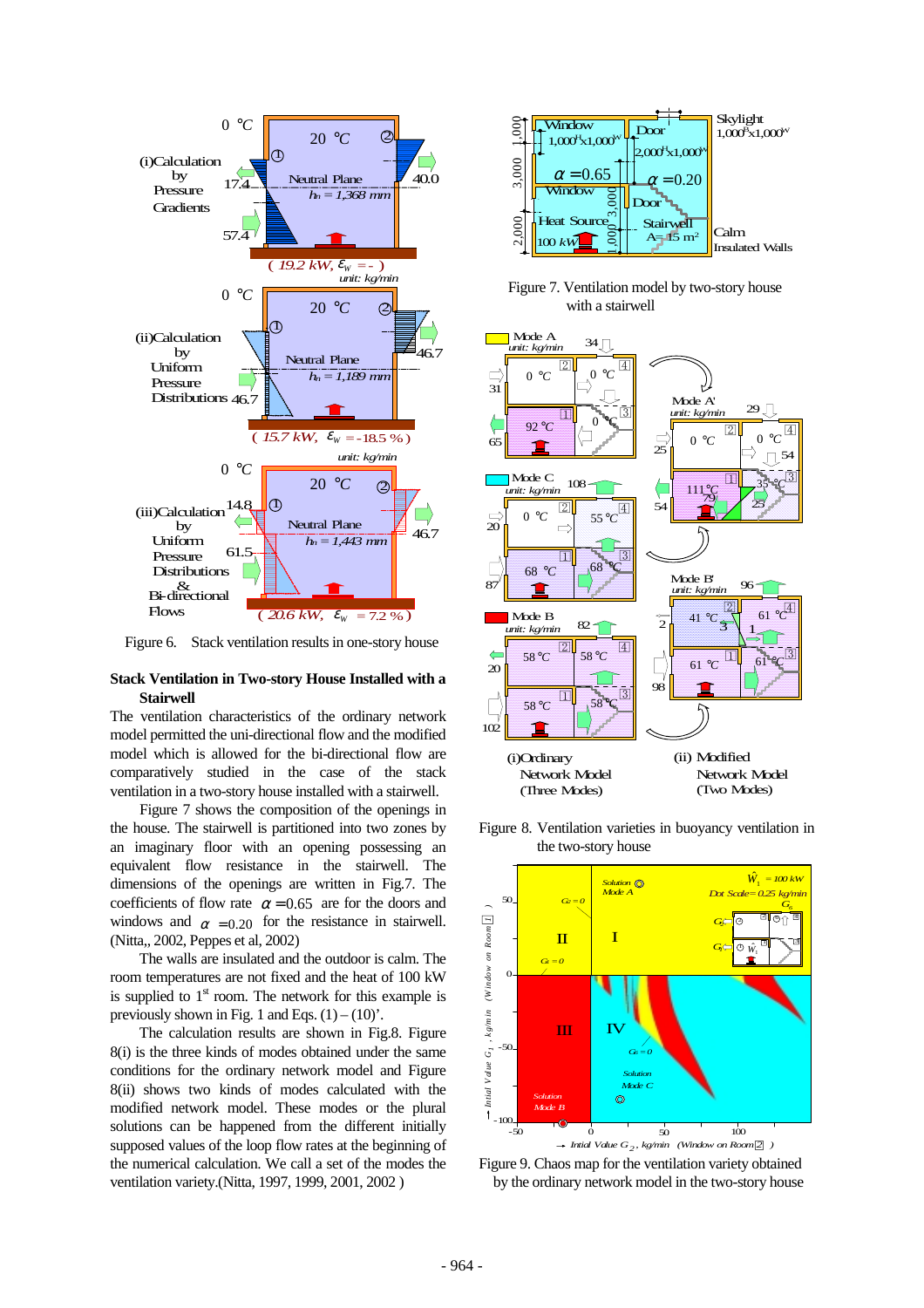

Figure 6. Stack ventilation results in one-story house

#### **Stack Ventilation in Two-story House Installed with a Stairwell**

The ventilation characteristics of the ordinary network model permitted the uni-directional flow and the modified model which is allowed for the bi-directional flow are comparatively studied in the case of the stack ventilation in a two-story house installed with a stairwell.

Figure 7 shows the composition of the openings in the house. The stairwell is partitioned into two zones by an imaginary floor with an opening possessing an equivalent flow resistance in the stairwell. The dimensions of the openings are written in Fig.7. The coefficients of flow rate  $\alpha = 0.65$  are for the doors and windows and  $\alpha$  = 0.20 for the resistance in stairwell. (Nitta,, 2002, Peppes et al, 2002)

The walls are insulated and the outdoor is calm. The room temperatures are not fixed and the heat of 100 kW is supplied to  $1<sup>st</sup>$  room. The network for this example is previously shown in Fig. 1 and Eqs.  $(1) - (10)$ .

The calculation results are shown in Fig.8. Figure 8(i) is the three kinds of modes obtained under the same conditions for the ordinary network model and Figure 8(ii) shows two kinds of modes calculated with the modified network model. These modes or the plural solutions can be happened from the different initially supposed values of the loop flow rates at the beginning of the numerical calculation. We call a set of the modes the ventilation variety.(Nitta, 1997, 1999, 2001, 2002 )



Figure 7. Ventilation model by two-story house with a stairwell



Figure 8. Ventilation varieties in buoyancy ventilation in the two-story house



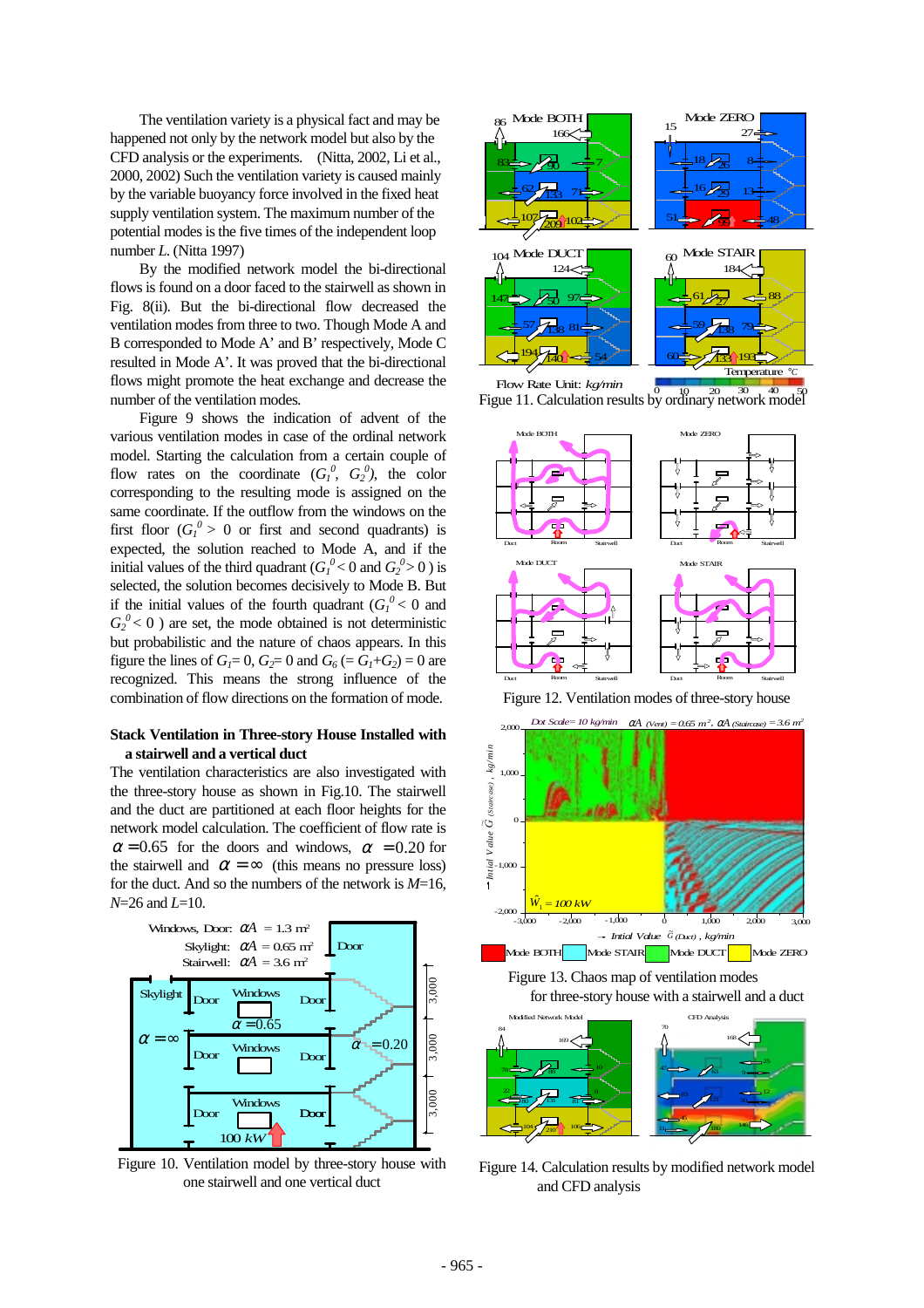The ventilation variety is a physical fact and may be happened not only by the network model but also by the CFD analysis or the experiments. (Nitta, 2002, Li et al., 2000, 2002) Such the ventilation variety is caused mainly by the variable buoyancy force involved in the fixed heat supply ventilation system. The maximum number of the potential modes is the five times of the independent loop number *L*. (Nitta 1997)

 By the modified network model the bi-directional flows is found on a door faced to the stairwell as shown in Fig. 8(ii). But the bi-directional flow decreased the ventilation modes from three to two. Though Mode A and B corresponded to Mode A' and B' respectively, Mode C resulted in Mode A'. It was proved that the bi-directional flows might promote the heat exchange and decrease the number of the ventilation modes.

Figure 9 shows the indication of advent of the various ventilation modes in case of the ordinal network model. Starting the calculation from a certain couple of flow rates on the coordinate  $(G_1^0, G_2^0)$ , the color corresponding to the resulting mode is assigned on the same coordinate. If the outflow from the windows on the first floor  $(G_l^0 > 0$  or first and second quadrants) is expected, the solution reached to Mode A, and if the initial values of the third quadrant  $(G_l^0 < 0$  and  $G_2^0 > 0$  ) is selected, the solution becomes decisively to Mode B. But if the initial values of the fourth quadrant  $(G_l^0 < 0$  and  $G_2^0$  < 0 ) are set, the mode obtained is not deterministic but probabilistic and the nature of chaos appears. In this figure the lines of  $G_1 = 0$ ,  $G_2 = 0$  and  $G_6 = G_1 + G_2 = 0$  are recognized. This means the strong influence of the combination of flow directions on the formation of mode.

#### **Stack Ventilation in Three-story House Installed with a stairwell and a vertical duct**

The ventilation characteristics are also investigated with the three-story house as shown in Fig.10. The stairwell and the duct are partitioned at each floor heights for the network model calculation. The coefficient of flow rate is  $\alpha$  = 0.65 for the doors and windows,  $\alpha$  = 0.20 for the stairwell and  $\alpha = \infty$  (this means no pressure loss) for the duct. And so the numbers of the network is *M*=16, *N*=26 and *L*=10.



 Figure 10. Ventilation model by three-story house with one stairwell and one vertical duct







Figure 12. Ventilation modes of three-story house



Figure 14. Calculation results by modified network model and CFD analysis